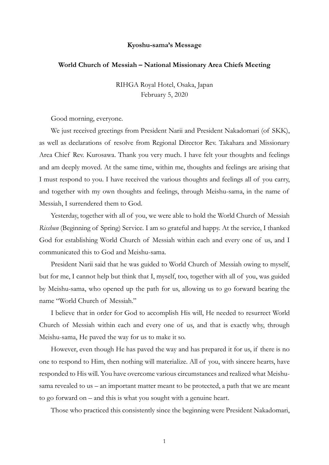## Kyoshu-sama's Message

## World Church of Messiah – National Missionary Area Chiefs Meeting

RIHGA Royal Hotel, Osaka, Japan February 5, 2020

Good morning, everyone.

We just received greetings from President Narii and President Nakadomari (of SKK), as well as declarations of resolve from Regional Director Rev. Takahara and Missionary Area Chief Rev. Kurosawa. Thank you very much. I have felt your thoughts and feelings and am deeply moved. At the same time, within me, thoughts and feelings are arising that I must respond to you. I have received the various thoughts and feelings all of you carry, and together with my own thoughts and feelings, through Meishu-sama, in the name of Messiah, I surrendered them to God.

Yesterday, together with all of you, we were able to hold the World Church of Messiah Risshun (Beginning of Spring) Service. I am so grateful and happy. At the service, I thanked God for establishing World Church of Messiah within each and every one of us, and I communicated this to God and Meishu-sama.

President Narii said that he was guided to World Church of Messiah owing to myself, but for me, I cannot help but think that I, myself, too, together with all of you, was guided by Meishu-sama, who opened up the path for us, allowing us to go forward bearing the name "World Church of Messiah."

I believe that in order for God to accomplish His will, He needed to resurrect World Church of Messiah within each and every one of us, and that is exactly why, through Meishu-sama, He paved the way for us to make it so.

However, even though He has paved the way and has prepared it for us, if there is no one to respond to Him, then nothing will materialize. All of you, with sincere hearts, have responded to His will. You have overcome various circumstances and realized what Meishusama revealed to us – an important matter meant to be protected, a path that we are meant to go forward on – and this is what you sought with a genuine heart.

Those who practiced this consistently since the beginning were President Nakadomari,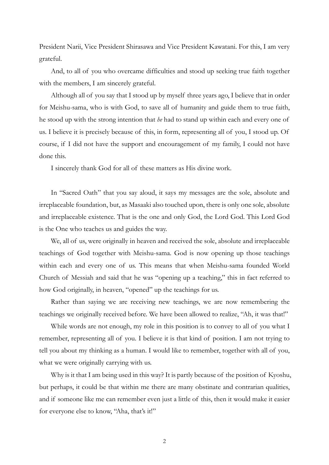President Narii, Vice President Shirasawa and Vice President Kawatani. For this, I am very grateful.

And, to all of you who overcame difficulties and stood up seeking true faith together with the members, I am sincerely grateful.

Although all of you say that I stood up by myself three years ago, I believe that in order for Meishu-sama, who is with God, to save all of humanity and guide them to true faith, he stood up with the strong intention that he had to stand up within each and every one of us. I believe it is precisely because of this, in form, representing all of you, I stood up. Of course, if I did not have the support and encouragement of my family, I could not have done this.

I sincerely thank God for all of these matters as His divine work.

In "Sacred Oath" that you say aloud, it says my messages are the sole, absolute and irreplaceable foundation, but, as Masaaki also touched upon, there is only one sole, absolute and irreplaceable existence. That is the one and only God, the Lord God. This Lord God is the One who teaches us and guides the way.

We, all of us, were originally in heaven and received the sole, absolute and irreplaceable teachings of God together with Meishu-sama. God is now opening up those teachings within each and every one of us. This means that when Meishu-sama founded World Church of Messiah and said that he was "opening up a teaching," this in fact referred to how God originally, in heaven, "opened" up the teachings for us.

Rather than saying we are receiving new teachings, we are now remembering the teachings we originally received before. We have been allowed to realize, "Ah, it was that!"

While words are not enough, my role in this position is to convey to all of you what I remember, representing all of you. I believe it is that kind of position. I am not trying to tell you about my thinking as a human. I would like to remember, together with all of you, what we were originally carrying with us.

Why is it that I am being used in this way? It is partly because of the position of Kyoshu, but perhaps, it could be that within me there are many obstinate and contrarian qualities, and if someone like me can remember even just a little of this, then it would make it easier for everyone else to know, "Aha, that's it!"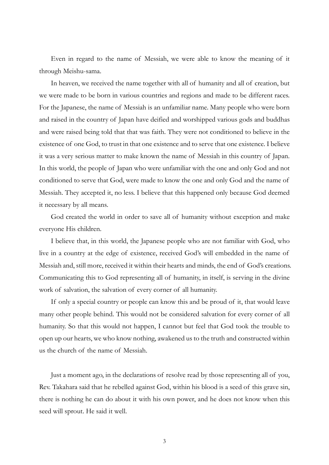Even in regard to the name of Messiah, we were able to know the meaning of it through Meishu-sama.

In heaven, we received the name together with all of humanity and all of creation, but we were made to be born in various countries and regions and made to be different races. For the Japanese, the name of Messiah is an unfamiliar name. Many people who were born and raised in the country of Japan have deified and worshipped various gods and buddhas and were raised being told that that was faith. They were not conditioned to believe in the existence of one God, to trust in that one existence and to serve that one existence. I believe it was a very serious matter to make known the name of Messiah in this country of Japan. In this world, the people of Japan who were unfamiliar with the one and only God and not conditioned to serve that God, were made to know the one and only God and the name of Messiah. They accepted it, no less. I believe that this happened only because God deemed it necessary by all means.

God created the world in order to save all of humanity without exception and make everyone His children.

I believe that, in this world, the Japanese people who are not familiar with God, who live in a country at the edge of existence, received God's will embedded in the name of Messiah and, still more, received it within their hearts and minds, the end of God's creations. Communicating this to God representing all of humanity, in itself, is serving in the divine work of salvation, the salvation of every corner of all humanity.

If only a special country or people can know this and be proud of it, that would leave many other people behind. This would not be considered salvation for every corner of all humanity. So that this would not happen, I cannot but feel that God took the trouble to open up our hearts, we who know nothing, awakened us to the truth and constructed within us the church of the name of Messiah.

Just a moment ago, in the declarations of resolve read by those representing all of you, Rev. Takahara said that he rebelled against God, within his blood is a seed of this grave sin, there is nothing he can do about it with his own power, and he does not know when this seed will sprout. He said it well.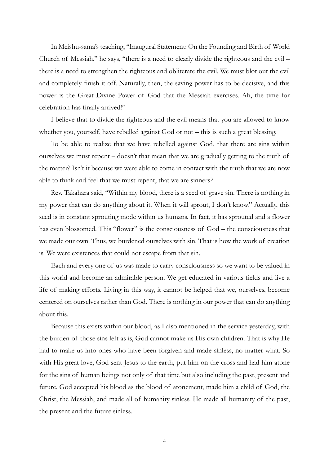In Meishu-sama's teaching, "Inaugural Statement: On the Founding and Birth of World Church of Messiah," he says, "there is a need to clearly divide the righteous and the evil – there is a need to strengthen the righteous and obliterate the evil. We must blot out the evil and completely finish it off. Naturally, then, the saving power has to be decisive, and this power is the Great Divine Power of God that the Messiah exercises. Ah, the time for celebration has finally arrived!"

I believe that to divide the righteous and the evil means that you are allowed to know whether you, yourself, have rebelled against God or not – this is such a great blessing.

To be able to realize that we have rebelled against God, that there are sins within ourselves we must repent – doesn't that mean that we are gradually getting to the truth of the matter? Isn't it because we were able to come in contact with the truth that we are now able to think and feel that we must repent, that we are sinners?

Rev. Takahara said, "Within my blood, there is a seed of grave sin. There is nothing in my power that can do anything about it. When it will sprout, I don't know." Actually, this seed is in constant sprouting mode within us humans. In fact, it has sprouted and a flower has even blossomed. This "flower" is the consciousness of God – the consciousness that we made our own. Thus, we burdened ourselves with sin. That is how the work of creation is. We were existences that could not escape from that sin.

Each and every one of us was made to carry consciousness so we want to be valued in this world and become an admirable person. We get educated in various fields and live a life of making efforts. Living in this way, it cannot be helped that we, ourselves, become centered on ourselves rather than God. There is nothing in our power that can do anything about this.

Because this exists within our blood, as I also mentioned in the service yesterday, with the burden of those sins left as is, God cannot make us His own children. That is why He had to make us into ones who have been forgiven and made sinless, no matter what. So with His great love, God sent Jesus to the earth, put him on the cross and had him atone for the sins of human beings not only of that time but also including the past, present and future. God accepted his blood as the blood of atonement, made him a child of God, the Christ, the Messiah, and made all of humanity sinless. He made all humanity of the past, the present and the future sinless.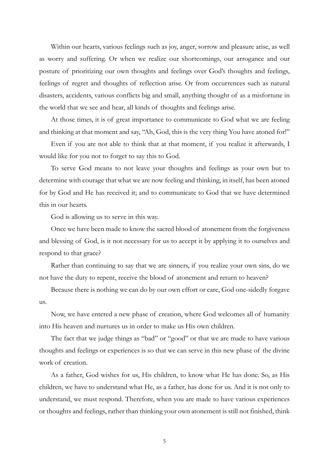Within our hearts, various feelings such as joy, anger, sorrow and pleasure arise, as well as worry and suffering. Or when we realize our shortcomings, our arrogance and our posture of prioritizing our own thoughts and feelings over God's thoughts and feelings, feelings of regret and thoughts of reflection arise. Or from occurrences such as natural disasters, accidents, various conflicts big and small, anything thought of as a misfortune in the world that we see and hear, all kinds of thoughts and feelings arise.

At those times, it is of great importance to communicate to God what we are feeling and thinking at that moment and say, "Ah, God, this is the very thing You have atoned for!"

Even if you are not able to think that at that moment, if you realize it afterwards, I would like for you not to forget to say this to God.

To serve God means to not leave your thoughts and feelings as your own but to determine with courage that what we are now feeling and thinking, in itself, has been atoned for by God and He has received it; and to communicate to God that we have determined this in our hearts.

God is allowing us to serve in this way.

Once we have been made to know the sacred blood of atonement from the forgiveness and blessing of God, is it not necessary for us to accept it by applying it to ourselves and respond to that grace?

Rather than continuing to say that we are sinners, if you realize your own sins, do we not have the duty to repent, receive the blood of atonement and return to heaven?

Because there is nothing we can do by our own effort or care, God one-sidedly forgave us.

Now, we have entered a new phase of creation, where God welcomes all of humanity into His heaven and nurtures us in order to make us His own children.

The fact that we judge things as "bad" or "good" or that we are made to have various thoughts and feelings or experiences is so that we can serve in this new phase of the divine work of creation.

As a father, God wishes for us, His children, to know what He has done. So, as His children, we have to understand what He, as a father, has done for us. And it is not only to understand, we must respond. Therefore, when you are made to have various experiences or thoughts and feelings, rather than thinking your own atonement is still not finished, think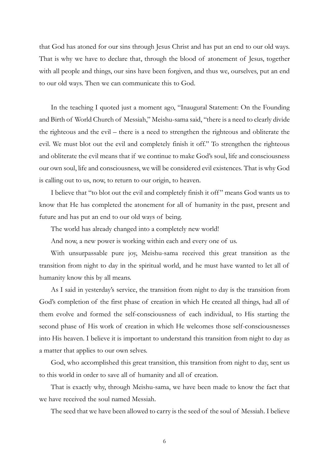that God has atoned for our sins through Jesus Christ and has put an end to our old ways. That is why we have to declare that, through the blood of atonement of Jesus, together with all people and things, our sins have been forgiven, and thus we, ourselves, put an end to our old ways. Then we can communicate this to God.

In the teaching I quoted just a moment ago, "Inaugural Statement: On the Founding and Birth of World Church of Messiah," Meishu-sama said, "there is a need to clearly divide the righteous and the evil – there is a need to strengthen the righteous and obliterate the evil. We must blot out the evil and completely finish it off." To strengthen the righteous and obliterate the evil means that if we continue to make God's soul, life and consciousness our own soul, life and consciousness, we will be considered evil existences. That is why God is calling out to us, now, to return to our origin, to heaven.

I believe that "to blot out the evil and completely finish it off " means God wants us to know that He has completed the atonement for all of humanity in the past, present and future and has put an end to our old ways of being.

The world has already changed into a completely new world!

And now, a new power is working within each and every one of us.

With unsurpassable pure joy, Meishu-sama received this great transition as the transition from night to day in the spiritual world, and he must have wanted to let all of humanity know this by all means.

As I said in yesterday's service, the transition from night to day is the transition from God's completion of the first phase of creation in which He created all things, had all of them evolve and formed the self-consciousness of each individual, to His starting the second phase of His work of creation in which He welcomes those self-consciousnesses into His heaven. I believe it is important to understand this transition from night to day as a matter that applies to our own selves.

God, who accomplished this great transition, this transition from night to day, sent us to this world in order to save all of humanity and all of creation.

That is exactly why, through Meishu-sama, we have been made to know the fact that we have received the soul named Messiah.

The seed that we have been allowed to carry is the seed of the soul of Messiah. I believe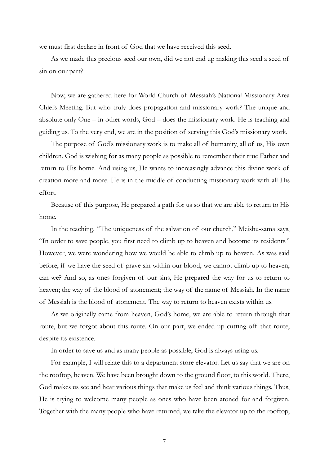we must first declare in front of God that we have received this seed.

As we made this precious seed our own, did we not end up making this seed a seed of sin on our part?

Now, we are gathered here for World Church of Messiah's National Missionary Area Chiefs Meeting. But who truly does propagation and missionary work? The unique and absolute only One – in other words, God – does the missionary work. He is teaching and guiding us. To the very end, we are in the position of serving this God's missionary work.

The purpose of God's missionary work is to make all of humanity, all of us, His own children. God is wishing for as many people as possible to remember their true Father and return to His home. And using us, He wants to increasingly advance this divine work of creation more and more. He is in the middle of conducting missionary work with all His effort.

Because of this purpose, He prepared a path for us so that we are able to return to His home.

In the teaching, "The uniqueness of the salvation of our church," Meishu-sama says, "In order to save people, you first need to climb up to heaven and become its residents." However, we were wondering how we would be able to climb up to heaven. As was said before, if we have the seed of grave sin within our blood, we cannot climb up to heaven, can we? And so, as ones forgiven of our sins, He prepared the way for us to return to heaven; the way of the blood of atonement; the way of the name of Messiah. In the name of Messiah is the blood of atonement. The way to return to heaven exists within us.

As we originally came from heaven, God's home, we are able to return through that route, but we forgot about this route. On our part, we ended up cutting off that route, despite its existence.

In order to save us and as many people as possible, God is always using us.

For example, I will relate this to a department store elevator. Let us say that we are on the rooftop, heaven. We have been brought down to the ground floor, to this world. There, God makes us see and hear various things that make us feel and think various things. Thus, He is trying to welcome many people as ones who have been atoned for and forgiven. Together with the many people who have returned, we take the elevator up to the rooftop,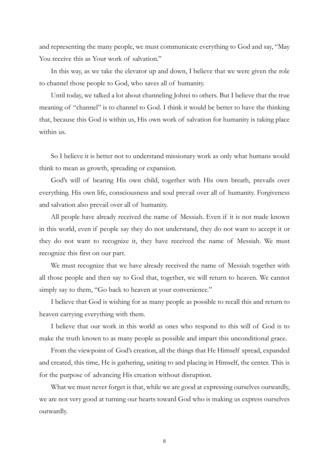and representing the many people, we must communicate everything to God and say, "May You receive this as Your work of salvation."

In this way, as we take the elevator up and down, I believe that we were given the role to channel those people to God, who saves all of humanity.

Until today, we talked a lot about channeling Johrei to others. But I believe that the true meaning of "channel" is to channel to God. I think it would be better to have the thinking that, because this God is within us, His own work of salvation for humanity is taking place within us.

So I believe it is better not to understand missionary work as only what humans would think to mean as growth, spreading or expansion.

God's will of bearing His own child, together with His own breath, prevails over everything. His own life, consciousness and soul prevail over all of humanity. Forgiveness and salvation also prevail over all of humanity.

All people have already received the name of Messiah. Even if it is not made known in this world, even if people say they do not understand, they do not want to accept it or they do not want to recognize it, they have received the name of Messiah. We must recognize this first on our part.

We must recognize that we have already received the name of Messiah together with all those people and then say to God that, together, we will return to heaven. We cannot simply say to them, "Go back to heaven at your convenience."

I believe that God is wishing for as many people as possible to recall this and return to heaven carrying everything with them.

I believe that our work in this world as ones who respond to this will of God is to make the truth known to as many people as possible and impart this unconditional grace.

From the viewpoint of God's creation, all the things that He Himself spread, expanded and created, this time, He is gathering, uniting to and placing in Himself, the center. This is for the purpose of advancing His creation without disruption.

What we must never forget is that, while we are good at expressing ourselves outwardly, we are not very good at turning our hearts toward God who is making us express ourselves outwardly.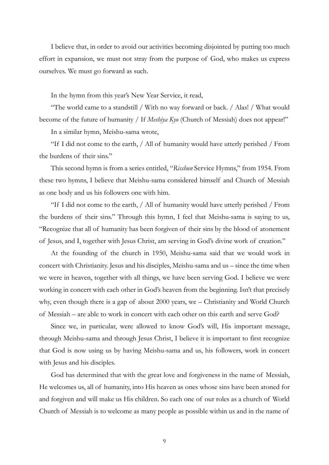I believe that, in order to avoid our activities becoming disjointed by putting too much effort in expansion, we must not stray from the purpose of God, who makes us express ourselves. We must go forward as such.

In the hymn from this year's New Year Service, it read,

"The world came to a standstill / With no way forward or back. / Alas! / What would become of the future of humanity / If Meshiya Kyo (Church of Messiah) does not appear!"

In a similar hymn, Meishu-sama wrote,

"If I did not come to the earth, / All of humanity would have utterly perished / From the burdens of their sins."

This second hymn is from a series entitled, "Risshun Service Hymns," from 1954. From these two hymns, I believe that Meishu-sama considered himself and Church of Messiah as one body and us his followers one with him.

"If I did not come to the earth, / All of humanity would have utterly perished / From the burdens of their sins." Through this hymn, I feel that Meishu-sama is saying to us, "Recognize that all of humanity has been forgiven of their sins by the blood of atonement of Jesus, and I, together with Jesus Christ, am serving in God's divine work of creation."

At the founding of the church in 1950, Meishu-sama said that we would work in concert with Christianity. Jesus and his disciples, Meishu-sama and us – since the time when we were in heaven, together with all things, we have been serving God. I believe we were working in concert with each other in God's heaven from the beginning. Isn't that precisely why, even though there is a gap of about 2000 years, we – Christianity and World Church of Messiah – are able to work in concert with each other on this earth and serve God?

Since we, in particular, were allowed to know God's will, His important message, through Meishu-sama and through Jesus Christ, I believe it is important to first recognize that God is now using us by having Meishu-sama and us, his followers, work in concert with Jesus and his disciples.

God has determined that with the great love and forgiveness in the name of Messiah, He welcomes us, all of humanity, into His heaven as ones whose sins have been atoned for and forgiven and will make us His children. So each one of our roles as a church of World Church of Messiah is to welcome as many people as possible within us and in the name of